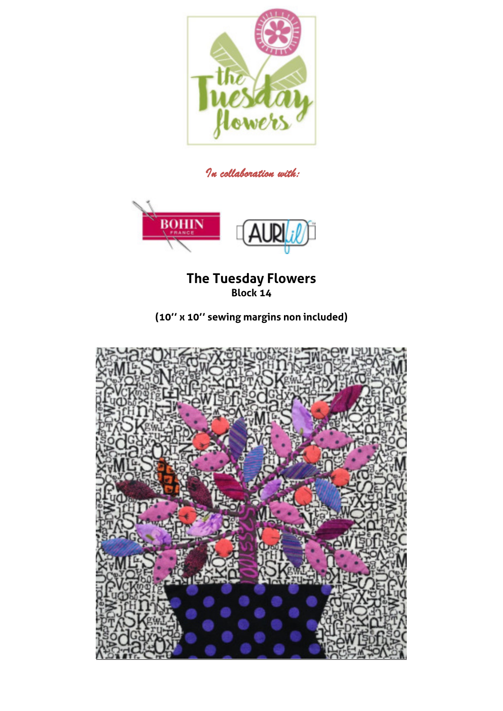

*In collaboration with:* 



## **The Tuesday Flowers Block 14**

**(10'' x 10'' sewing margins non included)** 

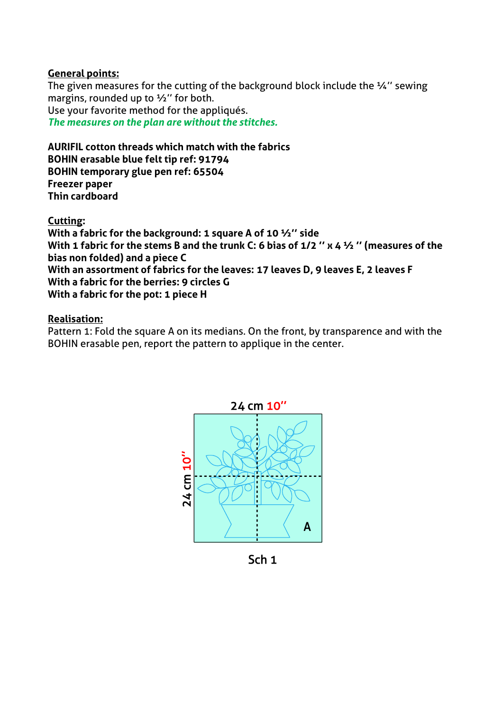## **General points:**

The given measures for the cutting of the background block include the  $\frac{1}{4}$ " sewing margins, rounded up to ½'' for both. Use your favorite method for the appliqués. *The measures on the plan are without the stitches.* 

## **AURIFIL cotton threads which match with the fabrics BOHIN erasable blue felt tip ref: 91794 BOHIN temporary glue pen ref: 65504 Freezer paper Thin cardboard**

**Cutting:** 

**With a fabric for the background: 1 square A of 10 ½'' side With 1 fabric for the stems B and the trunk C: 6 bias of 1/2 '' x 4 ½ '' (measures of the bias non folded) and a piece C With an assortment of fabrics for the leaves: 17 leaves D, 9 leaves E, 2 leaves F With a fabric for the berries: 9 circles G With a fabric for the pot: 1 piece H** 

## **Realisation:**

Pattern 1: Fold the square A on its medians. On the front, by transparence and with the BOHIN erasable pen, report the pattern to applique in the center.



Sch<sub>1</sub>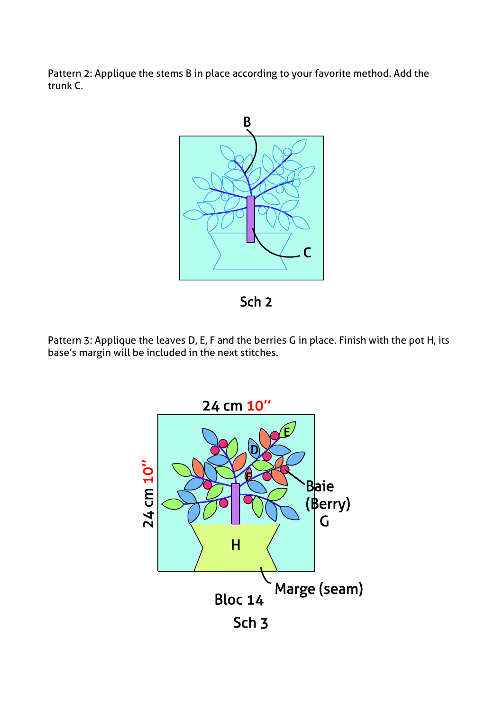Pattern 2: Applique the stems B in place according to your favorite method. Add the trunk C.





Pattern 3: Applique the leaves D, E, F and the berries G in place. Finish with the pot H, its base's margin will be included in the next stitches.